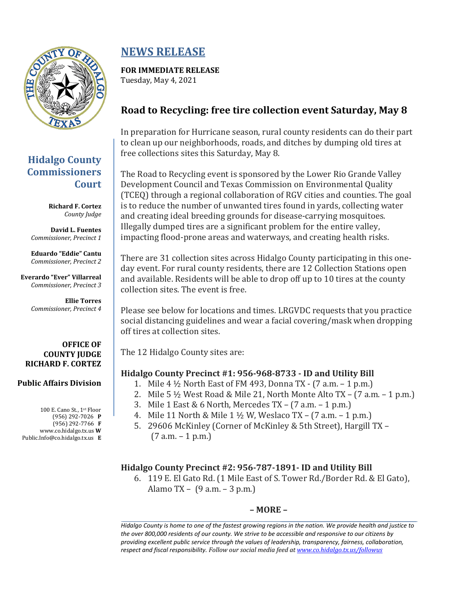

## **Hidalgo County Commissioners Court**

**Richard F. Cortez** *County Judge*

**David L. Fuentes** *Commissioner, Precinct 1*

**Eduardo "Eddie" Cantu** *Commissioner, Precinct 2*

**Everardo "Ever" Villarreal** *Commissioner, Precinct 3*

> **Ellie Torres** *Commissioner, Precinct 4*

#### **OFFICE OF COUNTY JUDGE RICHARD F. CORTEZ**

#### **Public Affairs Division**

100 E. Cano St., 1st Floor (956) 292-7026 **P** (956) 292-7766 **F** www.co.hidalgo.tx.us **W** Public.Info@co.hidalgo.tx.us **E**

# **NEWS RELEASE**

**FOR IMMEDIATE RELEASE** Tuesday, May 4, 2021

## **Road to Recycling: free tire collection event Saturday, May 8**

In preparation for Hurricane season, rural county residents can do their part to clean up our neighborhoods, roads, and ditches by dumping old tires at free collections sites this Saturday, May 8.

The Road to Recycling event is sponsored by the Lower Rio Grande Valley Development Council and Texas Commission on Environmental Quality (TCEQ) through a regional collaboration of RGV cities and counties. The goal is to reduce the number of unwanted tires found in yards, collecting water and creating ideal breeding grounds for disease-carrying mosquitoes. Illegally dumped tires are a significant problem for the entire valley, impacting flood-prone areas and waterways, and creating health risks.

There are 31 collection sites across Hidalgo County participating in this oneday event. For rural county residents, there are 12 Collection Stations open and available. Residents will be able to drop off up to 10 tires at the county collection sites. The event is free.

Please see below for locations and times. LRGVDC requests that you practice social distancing guidelines and wear a facial covering/mask when dropping off tires at collection sites.

The 12 Hidalgo County sites are:

## **Hidalgo County Precinct #1: 956-968-8733 - ID and Utility Bill**

- 1. Mile 4 ½ North East of FM 493, Donna TX (7 a.m. 1 p.m.)
- 2. Mile 5  $\frac{1}{2}$  West Road & Mile 21, North Monte Alto TX (7 a.m. 1 p.m.)
- 3. Mile 1 East & 6 North, Mercedes TX (7 a.m. 1 p.m.)
- 4. Mile 11 North & Mile 1 ½ W, Weslaco TX (7 a.m. 1 p.m.)
- 5. 29606 McKinley (Corner of McKinley & 5th Street), Hargill TX  $(7 a.m. - 1 p.m.)$

## **Hidalgo County Precinct #2: 956-787-1891- ID and Utility Bill**

6. 119 E. El Gato Rd. (1 Mile East of S. Tower Rd./Border Rd. & El Gato), Alamo TX – (9 a.m. – 3 p.m.)

## **– MORE –**

*Hidalgo County is home to one of the fastest growing regions in the nation. We provide health and justice to the over 800,000 residents of our county. We strive to be accessible and responsive to our citizens by providing excellent public service through the values of leadership, transparency, fairness, collaboration, respect and fiscal responsibility. Follow our social media feed a[t www.co.hidalgo.tx.us/followus](http://www.co.hidalgo.tx.us/followus)*